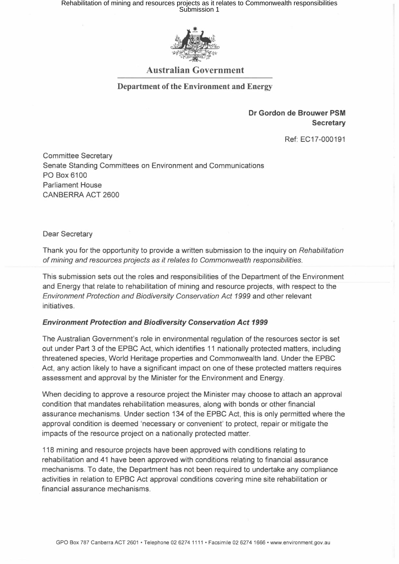# Rehabilitation of mining and resources projects as it relates to Commonwealth responsibilities<br>Submission 1



## Australian Government

#### Department of the Environment and Energy

## Dr Gordon de Brouwer PSM **Secretary**

Ref: EC17-000191

Committee Secretary Senate Standing Committees on Environment and Communications PO Box 6100 Parliament House CANBERRA ACT 2600

Dear Secretary

Thank you for the opportunity to provide a written submission to the inquiry on *Rehabilitation*  of *mining and resources projects* as *it relates to Commonwealth responsibilities.* 

This submission sets out the roles and responsibilities of the Department of the Environment and Energy that relate to rehabilitation of mining and resource projects, with respect to the *Environment Protection and Biodiversity Conservation Act* 1999 and other relevant initiatives.

#### *Environment Protection and Biodiversity Conservation Act 1999*

The Australian Government's role in environmental regulation of the resources sector is set out under Part 3 of the EPBC Act, which identifies 11 nationally protected matters, including threatened species, World Heritage properties and Commonwealth land. Under the EPBC Act, any action likely to have a significant impact on one of these protected matters requires assessment and approval by the Minister for the Environment and Energy.

When deciding to approve a resource project the Minister may choose to attach an approval condition that mandates rehabilitation measures, along with bonds or other financial assurance mechanisms. Under section 134 of the EPBC Act, this is only permitted where the approval condition is deemed 'necessary or convenient' to protect, repair or mitigate the impacts of the resource project on a nationally protected matter.

118 mining and resource projects have been approved with conditions relating to rehabilitation and 41 have been approved with conditions relating to financial assurance mechanisms. To date, the Department has not been required to undertake any compliance activities in relation to EPBC Act approval conditions covering mine site rehabilitation or financial assurance mechanisms.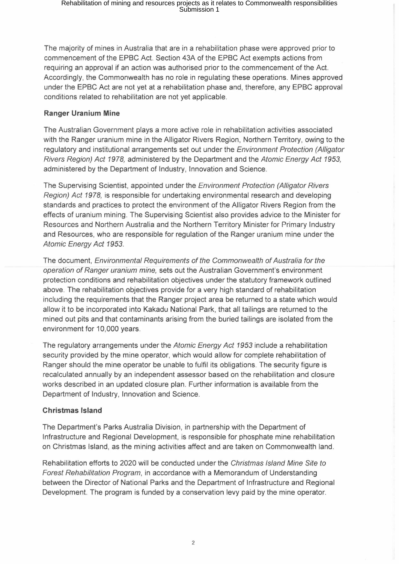The majority of mines in Australia that are in a rehabilitation phase were approved prior to commencement of the EPBC Act. Section 43A of the EPBC Act exempts actions from requiring an approval if an action was authorised prior to the commencement of the Act. Accordingly, the Commonwealth has no role in regulating these operations. Mines approved under the EPBC Act are not yet at a rehabilitation phase and, therefore, any EPBC approval conditions related to rehabilitation are not yet applicable.

# **Ranger Uranium Mine**

The Australian Government plays a more active role in rehabilitation activities associated with the Ranger uranium mine in the Alligator Rivers Region, Northern Territory, owing to the regulatory and institutional arrangements set out under the *Environment Protection (Alligator Rivers Region) Act* 1978, administered by the Department and the *Atomic Energy Act 1953,*  administered by the Department of Industry, Innovation and Science.

The Supervising Scientist, appointed under the *Environment Protection (Alligator Rivers Region) Act* 1978, is responsible for undertaking environmental research and developing standards and practices to protect the environment of the Alligator Rivers Region from the effects of uranium mining. The Supervising Scientist also provides advice to the Minister for Resources and Northern Australia and the Northern Territory Minister for Primary Industry and Resources, who are responsible for regulation of the Ranger uranium mine under the *Atomic Energy Act 1953.* 

The document, *Environmental Requirements* of *the Commonwealth* of *Australia for the operation* of *Ranger uranium mine,* sets out the Australian Government's environment protection conditions and rehabilitation objectives under the statutory framework outlined above. The rehabilitation objectives provide for a very high standard of rehabilitation including the requirements that the Ranger project area be returned to a state which would allow it to be incorporated into Kakadu National Park, that all tailings are returned to the mined out pits and that contaminants arising from the buried tailings are isolated from the environment for 10,000 years.

The regulatory arrangements under the *Atomic Energy Act* 1953 include a rehabilitation security provided by the mine operator, which would allow for complete rehabilitation of Ranger should the mine operator be unable to fulfil its obligations. The security figure is recalculated annually by an independent assessor based on the rehabilitation and closure works described in an updated closure plan. Further information is available from the Department of Industry, Innovation and Science.

# **Christmas Island**

The Department's Parks Australia Division, in partnership with the Department of Infrastructure and Regional Development, is responsible for phosphate mine rehabilitation on Christmas Island, as the mining activities affect and are taken on Commonwealth land.

Rehabilitation efforts to 2020 will be conducted under the *Christmas Island Mine Site to Forest Rehabilitation Program,* in accordance with a Memorandum of Understanding between the Director of National Parks and the Department of Infrastructure and Regional Development. The program is funded by a conservation levy paid by the mine operator.